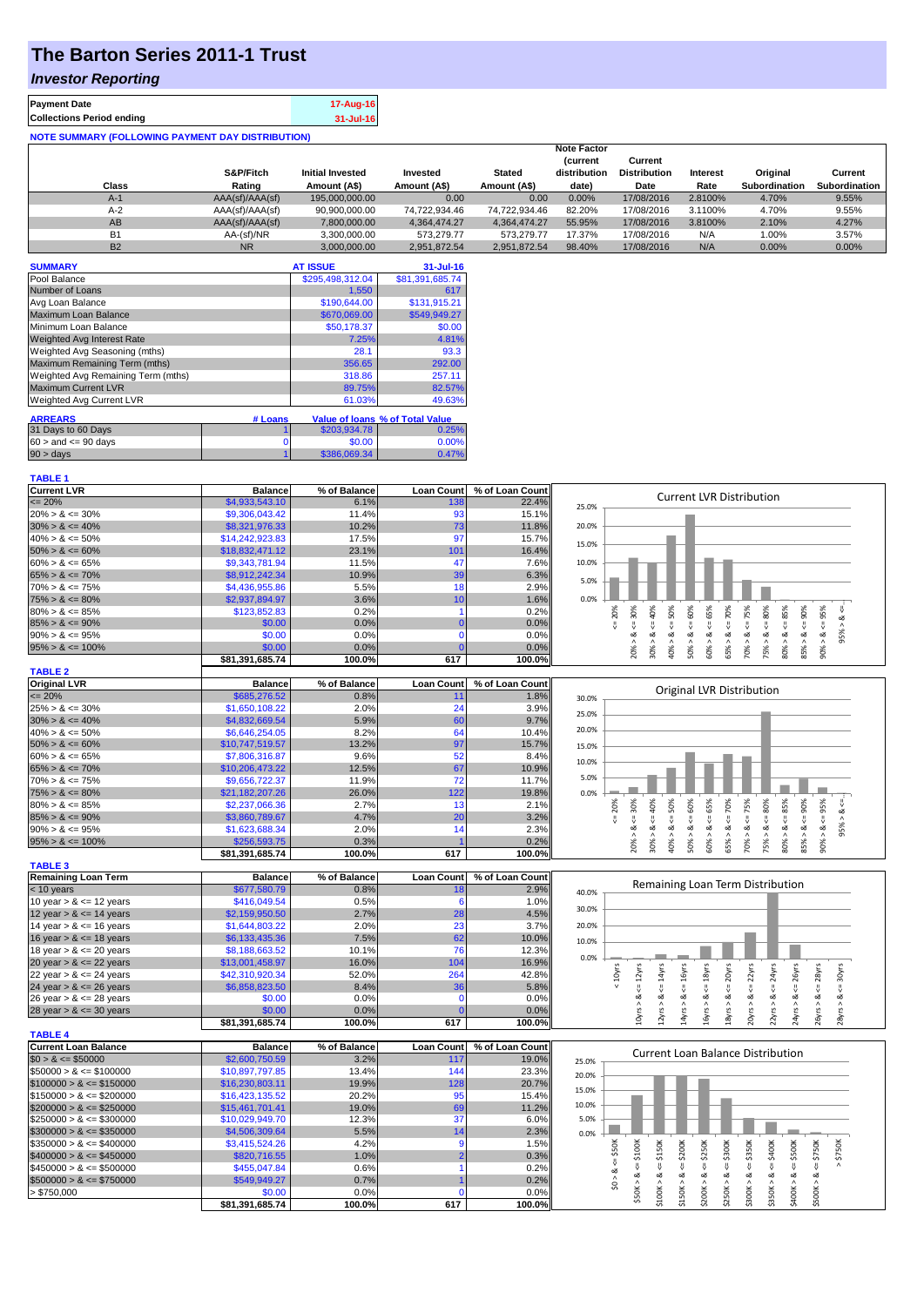## **The Barton Series 2011-1 Trust**

## *Investor Reporting*

| <b>Payment Date</b>                                      | 17-Aug-16 |
|----------------------------------------------------------|-----------|
| <b>Collections Period ending</b>                         | 31-Jul-16 |
| <b>NOTE SUMMARY (FOLLOWING PAYMENT DAY DISTRIBUTION)</b> |           |

|           |                 |                         |               |               | <b>Note Factor</b>             |                                |          |                      |                      |
|-----------|-----------------|-------------------------|---------------|---------------|--------------------------------|--------------------------------|----------|----------------------|----------------------|
|           | S&P/Fitch       | <b>Initial Invested</b> | Invested      | <b>Stated</b> | <b>Current</b><br>distribution | Current<br><b>Distribution</b> | Interest | Original             | Current              |
| Class     | Rating          | Amount (A\$)            | Amount (A\$)  | Amount (A\$)  | date)                          | Date                           | Rate     | <b>Subordination</b> | <b>Subordination</b> |
| A-1       | AAA(sf)/AAA(sf) | 195.000.000.00          | 0.00          | 0.00          | 0.00%                          | 17/08/2016                     | 2.8100%  | 4.70%                | 9.55%                |
| A-2       | AAA(sf)/AAA(sf) | 90.900.000.00           | 74.722.934.46 | 74.722.934.46 | 82.20%                         | 17/08/2016                     | 3.1100%  | 4.70%                | 9.55%                |
| AB        | AAA(sf)/AAA(sf) | 7.800.000.00            | 4.364.474.27  | 4.364.474.27  | 55.95%                         | 17/08/2016                     | 3.8100%  | 2.10%                | 4.27%                |
| <b>B1</b> | AA-(sf)/NR      | 3.300.000.00            | 573.279.77    | 573.279.77    | 17.37%                         | 17/08/2016                     | N/A      | 1.00%                | 3.57%                |
| <b>B2</b> | <b>NR</b>       | 3.000.000.00            | 2.951.872.54  | 2.951.872.54  | 98.40%                         | 17/08/2016                     | N/A      | 0.00%                | $0.00\%$             |

| <b>SUMMARY</b>                     |         | <b>AT ISSUE</b>  | $31 -$ Jul-16                   |
|------------------------------------|---------|------------------|---------------------------------|
| Pool Balance                       |         | \$295,498,312.04 | \$81,391,685.74                 |
| Number of Loans                    |         | 1.550            | 617                             |
| Avg Loan Balance                   |         | \$190,644.00     | \$131.915.21                    |
| Maximum Loan Balance               |         | \$670,069.00     | \$549,949.27                    |
| Minimum Loan Balance               |         | \$50,178.37      | \$0.00                          |
| <b>Weighted Avg Interest Rate</b>  |         | 7.25%            | 4.81%                           |
| Weighted Avg Seasoning (mths)      |         | 28.1             | 93.3                            |
| Maximum Remaining Term (mths)      |         | 356.65           | 292.00                          |
| Weighted Avg Remaining Term (mths) |         | 318.86           | 257.11                          |
| <b>Maximum Current LVR</b>         |         | 89.75%           | 82.57%                          |
| Weighted Avg Current LVR           |         | 61.03%           | 49.63%                          |
| <b>ARREARS</b>                     | # Loans |                  | Value of Ioans % of Total Value |
| 31 Days to 60 Days                 |         | \$203.934.78     | 0.25%                           |
| $60 >$ and $\leq 90$ days          | 0       | \$0.00           | 0.00%                           |
| $90 > \text{days}$                 |         | \$386,069.34     | 0.47%                           |

|--|

| <b>Current LVR</b>   | <b>Balance</b>  | % of Balance | <b>Loan Count</b> | % of Loan Count |       |    |    |     |   | Current LVR Distribution |                 |   |     |           |     |   |  |
|----------------------|-----------------|--------------|-------------------|-----------------|-------|----|----|-----|---|--------------------------|-----------------|---|-----|-----------|-----|---|--|
| $\leq$ 20%           | \$4,933,543.10  | 6.1%         | 138               | 22.4%           | 25.0% |    |    |     |   |                          |                 |   |     |           |     |   |  |
| $20\% > 8 \le 30\%$  | \$9,306,043.42  | 11.4%        | 93                | 15.1%           |       |    |    |     |   |                          |                 |   |     |           |     |   |  |
| $30\% > 8 \le 40\%$  | \$8,321,976.33  | 10.2%        | 731               | 11.8%           | 20.0% |    |    |     |   |                          |                 |   |     |           |     |   |  |
| $40\% > 8 \le 50\%$  | \$14,242,923.83 | 17.5%        | 97                | 15.7%           | 15.0% |    |    |     |   |                          |                 |   |     |           |     |   |  |
| $50\% > 8 \le 60\%$  | \$18,832,471.12 | 23.1%        | 101               | 16.4%           |       |    |    |     |   |                          |                 |   |     |           |     |   |  |
| $60\% > 8 \le 65\%$  | \$9.343.781.94  | 11.5%        |                   | 7.6%            | 10.0% |    |    |     |   |                          |                 |   |     |           |     |   |  |
| $65\% > 8 \le 70\%$  | \$8,912,242,34  | 10.9%        | 39                | 6.3%            | 5.0%  |    |    |     |   |                          |                 |   |     |           |     |   |  |
| $70\% > 8 \le 75\%$  | \$4,436,955.86  | 5.5%         |                   | 2.9%            |       |    |    |     |   |                          |                 |   |     |           |     |   |  |
| $75\% > 8 \le 80\%$  | \$2,937,894.97  | 3.6%         |                   | 1.6%            | 0.0%  |    |    |     |   |                          |                 |   |     |           |     |   |  |
| $80\% > 8 \le 85\%$  | \$123,852,83    | 0.2%         |                   | 0.2%            |       | ని |    |     |   |                          | ĝ               |   | ల్ల | <u>ကိ</u> | ð,  | 웂 |  |
| $85\% > 8 \le 90\%$  | \$0.00          | 0.0%         |                   | 0.0%            |       |    |    |     |   |                          |                 |   |     |           |     |   |  |
| $90\% > 8 \le 95\%$  | \$0.00          | 0.0%         |                   | 0.0%            |       |    |    |     |   |                          |                 |   |     |           |     |   |  |
| $95\% > 8 \le 100\%$ | \$0.00          | 0.0%         |                   | 0.0%            |       |    |    |     | ∊ | ŝ                        | SS <sub>X</sub> | ∘ |     |           | ŝ59 |   |  |
|                      | \$81.391.685.74 | 100.0%       | 617               | 100.0%l         |       |    | ຂຶ | င္က |   |                          |                 |   |     | 8         |     |   |  |

| <b>TABLE 2</b>       |                 |              |                   |                 |                                                                           |
|----------------------|-----------------|--------------|-------------------|-----------------|---------------------------------------------------------------------------|
| <b>Original LVR</b>  | <b>Balance</b>  | % of Balance | <b>Loan Count</b> | % of Loan Count | Original LVR Distribution                                                 |
| $\leq$ 20%           | \$685,276.52    | 0.8%         |                   | 1.8%            | 30.0%                                                                     |
| $25\% > 8 \le 30\%$  | \$1,650,108.22  | 2.0%         | 24                | 3.9%            | 25.0%                                                                     |
| $30\% > 8 \le 40\%$  | \$4,832,669.54  | 5.9%         | 60                | 9.7%            |                                                                           |
| $40\% > 8 \le 50\%$  | \$6,646,254.05  | 8.2%         | 64                | 10.4%           | 20.0%                                                                     |
| $50\% > 8 \le 60\%$  | \$10.747.519.57 | 13.2%        | 97                | 15.7%           | 15.0%                                                                     |
| $60\% > 8 \le 65\%$  | \$7,806,316.87  | 9.6%         | 52                | 8.4%            | 10.0%                                                                     |
| $65\% > 8 \le 70\%$  | \$10,206,473.22 | 12.5%        | 67                | 10.9%           |                                                                           |
| $70\% > 8 \le 75\%$  | \$9.656.722.37  | 11.9%        | 72 <sub>1</sub>   | 11.7%           | 5.0%                                                                      |
| $75\% > 8 \le 80\%$  | \$21.182.207.26 | 26.0%        | 122               | 19.8%           | 0.0%                                                                      |
| $80\% > 8 \le 85\%$  | \$2,237,066.36  | 2.7%         |                   | 2.1%            | 5%<br>20%<br>30%<br>5%<br>80%<br>55%<br>Š<br>ŝ<br>ĝ<br>ŝ<br>ੂੰ<br>یخ<br>ឹ |
| $85\% > 8 \le 90\%$  | \$3,860,789.67  | 4.7%         | 20                | 3.2%            |                                                                           |
| $90\% > 8 \le 95\%$  | \$1,623,688.34  | 2.0%         |                   | 2.3%            | 95%<br>∝<br>∝<br>∞<br>∝<br>∞                                              |
| $95\% > 8 \le 100\%$ | \$256,593.75    | 0.3%         |                   | 0.2%            | 20%<br>70%<br>č,<br>ŝ<br>ó۱<br>Ŝ<br>ŝ<br>Ü.<br>Ĥ.<br>∘                    |
|                      | \$81.391.685.74 | 100.0%       | 617               | 100.0%          | S<br>æ<br>m<br>$\sim$                                                     |

| <b>TABLE 3</b>             |                 |              |                   |                 |       |
|----------------------------|-----------------|--------------|-------------------|-----------------|-------|
| <b>Remaining Loan Term</b> | <b>Balance</b>  | % of Balance | <b>Loan Count</b> | % of Loan Count |       |
| $<$ 10 years               | \$677,580.79    | 0.8%         | 18                | 2.9%            | 40.0% |
| 10 year $> 8 \le 12$ years | \$416,049.54    | 0.5%         |                   | 1.0%            |       |
| 12 year $> 8 \le 14$ years | \$2,159,950.50  | 2.7%         | 28                | 4.5%            | 30.0% |
| 14 year $> 8 \le 16$ years | \$1,644,803.22  | 2.0%         | 23                | 3.7%            | 20.0% |
| 16 year $> 8 \le 18$ years | \$6,133,435.36  | 7.5%         | 62                | 10.0%           | 10.0% |
| 18 year $> 8 \le 20$ years | \$8,188,663.52  | 10.1%        | 76                | 12.3%           |       |
| 20 year $> 8 \le 22$ years | \$13,001,458.97 | 16.0%        | 104               | 16.9%           | 0.0%  |
| 22 year $> 8 \le 24$ years | \$42,310,920.34 | 52.0%        | 264               | 42.8%           |       |
| 24 year $> 8 \le 26$ years | \$6,858,823.50  | 8.4%         | 36                | 5.8%            |       |
| 26 year $> 8 \le 28$ years | \$0.00          | 0.0%         |                   | $0.0\%$         |       |
| 28 year $> 8 \le 30$ years | \$0.00          | 0.0%         |                   | 0.0%            |       |
|                            | \$81.391.685.74 | 100.0%       | 617               | 100.0%I         |       |

| <b>JU.U70</b> |                |               |         |         |         |                                          |         |         |                     |         |                   |  |
|---------------|----------------|---------------|---------|---------|---------|------------------------------------------|---------|---------|---------------------|---------|-------------------|--|
| 20.0%         |                |               |         |         |         |                                          |         |         |                     |         |                   |  |
| 10.0%         |                |               |         |         |         |                                          |         |         |                     |         |                   |  |
| 0.0%          |                |               |         |         |         |                                          |         |         |                     |         |                   |  |
|               | $<10\gamma$ rs | $12\gamma rs$ | 14yrs   | 16yrs   | 18yrs   | 20yrs                                    | 22yrs   | 24yrs   | 26yrs               | 28yrs   | $\leq$ = 30 $yrs$ |  |
|               |                | V             | V       | ₩       | ₩       | Ŷ                                        | J!      | Ŷ       | $\ddot{\mathsf{v}}$ | V       |                   |  |
|               |                | ∞             | ∞       | ಷ       | ઌ       | œ                                        | œ       | ಷ       | ઌ                   | œ       | ∞                 |  |
|               |                | 10yrs >       | 12yrs > | 14yrs > | 16yrs > | 18yrs                                    | 20yrs > | 22yrs > | 24yrs >             | 26yrs > | 28yrs >           |  |
|               |                |               |         |         |         |                                          |         |         |                     |         |                   |  |
|               |                |               |         |         |         | <b>Current Loan Balance Distribution</b> |         |         |                     |         |                   |  |
| 25.0%         |                |               |         |         |         |                                          |         |         |                     |         |                   |  |
| 20.0%         |                |               |         |         |         |                                          |         |         |                     |         |                   |  |

Remaining Loan Term Distribution

ш

|                              | 0,00,100,14     | 100.070      | <b></b>           | 100.070         |       |                                   | $\blacksquare$ |   |   |        |   |      |   |     |      |                      |  |
|------------------------------|-----------------|--------------|-------------------|-----------------|-------|-----------------------------------|----------------|---|---|--------|---|------|---|-----|------|----------------------|--|
| <b>TABLE 4</b>               |                 |              |                   |                 |       |                                   |                |   |   |        |   |      |   |     |      |                      |  |
| Current Loan Balance         | <b>Balance</b>  | % of Balance | <b>Loan Count</b> | % of Loan Count |       | Current Loan Balance Distribution |                |   |   |        |   |      |   |     |      |                      |  |
| $$0 > 8 \leq $50000$         | \$2,600,750.59  | 3.2%         | 117               | 19.0%           | 25.0% |                                   |                |   |   |        |   |      |   |     |      |                      |  |
| $\$50000 > 8 \leq \$100000$  | \$10,897,797.85 | 13.4%        | 144               | 23.3%           | 20.0% |                                   |                |   |   |        |   |      |   |     |      |                      |  |
| $$100000 > 8 \leq $150000$   | \$16,230,803.11 | 19.9%        | 128               | 20.7%           |       |                                   |                |   |   |        |   |      |   |     |      |                      |  |
| $$150000 > 8 \leq $200000$   | \$16,423,135.52 | 20.2%        | 95                | 15.4%           | 15.0% |                                   |                |   |   |        |   |      |   |     |      |                      |  |
| $$200000 > 8 \leq $250000$   | \$15,461,701.41 | 19.0%        | 69                | 11.2%           | 10.0% |                                   |                |   |   |        |   |      |   |     |      |                      |  |
| $$250000 > 8 \leq $300000$   | \$10.029.949.70 | 12.3%        | 37                | 6.0%            | 5.0%  |                                   |                |   |   |        |   |      |   |     |      |                      |  |
| $\$300000 > 8 \leq \$350000$ | \$4,506,309.64  | 5.5%         |                   | 2.3%            | 0.0%  |                                   |                |   |   |        |   |      |   |     |      |                      |  |
| $\$350000 > 8 \leq \$400000$ | \$3,415,524,26  | 4.2%         |                   | 1.5%            |       |                                   |                | š | Ĕ | ă      | š | ក្តី | š | Š   | ន្លី |                      |  |
| $$400000 > 8 \leq $450000$   | \$820,716.55    | 1.0%         |                   | 0.3%            |       |                                   | $\sim$         |   |   | $\sim$ |   | చి   |   | ۰ń۰ | ÷۵   | $\ddot{\phantom{1}}$ |  |
| $\$450000 > 8 \leq \$500000$ | \$455,047.84    | 0.6%         |                   | 0.2%            |       |                                   |                |   |   |        |   |      |   |     |      |                      |  |
| $$500000 > 8 \leq $750000$   | \$549,949.27    | 0.7%         |                   | 0.2%            |       |                                   |                | ∝ |   | οZ     | ∞ | οZ   | ∞ | ∝   |      |                      |  |
| > \$750,000                  | \$0.00          | 0.0%         |                   | 0.0%            |       |                                   |                |   |   |        | ᅙ | 0    | ⌒ | ನ   |      |                      |  |
|                              | \$81.391.685.74 | 100.0%       | 617               | 100.0%          |       |                                   |                |   |   | Ñ      | N |      | m |     |      |                      |  |